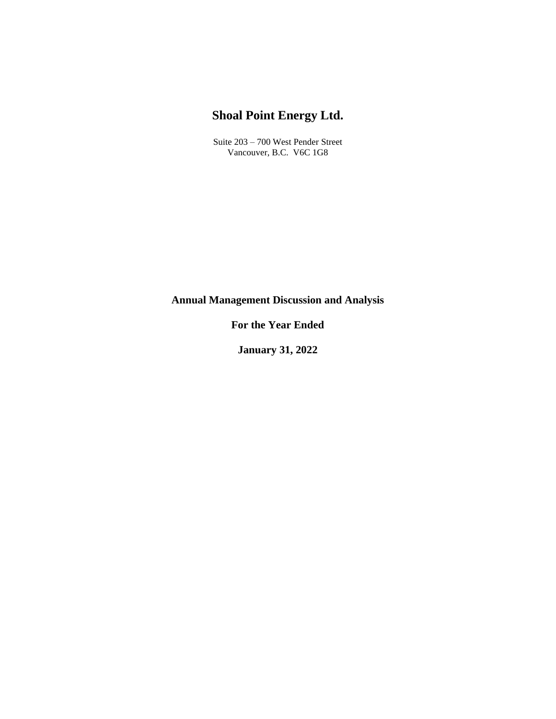# **Shoal Point Energy Ltd.**

Suite 203 – 700 West Pender Street Vancouver, B.C. V6C 1G8

**Annual Management Discussion and Analysis**

**For the Year Ended**

**January 31, 2022**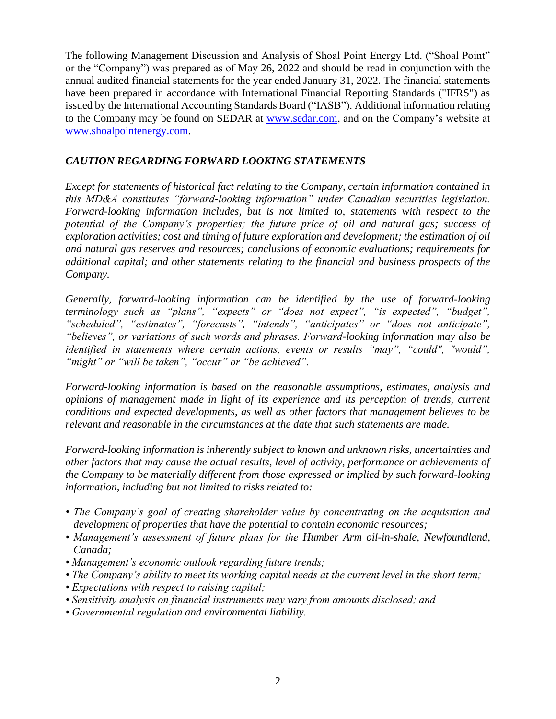The following Management Discussion and Analysis of Shoal Point Energy Ltd. ("Shoal Point" or the "Company") was prepared as of May 26, 2022 and should be read in conjunction with the annual audited financial statements for the year ended January 31, 2022. The financial statements have been prepared in accordance with International Financial Reporting Standards ("IFRS") as issued by the International Accounting Standards Board ("IASB"). Additional information relating to the Company may be found on SEDAR at [www.sedar.com,](http://www.sedar.com/) and on the Company's website at [www.shoalpointenergy.com.](http://www.shoalpointenergy.com/)

#### *CAUTION REGARDING FORWARD LOOKING STATEMENTS*

*Except for statements of historical fact relating to the Company, certain information contained in this MD&A constitutes "forward-looking information" under Canadian securities legislation. Forward-looking information includes, but is not limited to, statements with respect to the potential of the Company's properties; the future price of oil and natural gas; success of exploration activities; cost and timing of future exploration and development; the estimation of oil and natural gas reserves and resources; conclusions of economic evaluations; requirements for additional capital; and other statements relating to the financial and business prospects of the Company.*

*Generally, forward-looking information can be identified by the use of forward-looking terminology such as "plans", "expects" or "does not expect", "is expected", "budget", "scheduled", "estimates", "forecasts", "intends", "anticipates" or "does not anticipate", "believes", or variations of such words and phrases. Forward-looking information may also be identified in statements where certain actions, events or results "may", "could", "would", "might" or "will be taken", "occur" or "be achieved".* 

*Forward-looking information is based on the reasonable assumptions, estimates, analysis and opinions of management made in light of its experience and its perception of trends, current conditions and expected developments, as well as other factors that management believes to be relevant and reasonable in the circumstances at the date that such statements are made.* 

*Forward-looking information is inherently subject to known and unknown risks, uncertainties and other factors that may cause the actual results, level of activity, performance or achievements of the Company to be materially different from those expressed or implied by such forward-looking information, including but not limited to risks related to:*

- *The Company's goal of creating shareholder value by concentrating on the acquisition and development of properties that have the potential to contain economic resources;*
- *• Management's assessment of future plans for the Humber Arm oil-in-shale, Newfoundland, Canada;*
- *Management's economic outlook regarding future trends;*
- *The Company's ability to meet its working capital needs at the current level in the short term;*
- *Expectations with respect to raising capital;*
- *Sensitivity analysis on financial instruments may vary from amounts disclosed; and*
- *Governmental regulation and environmental liability.*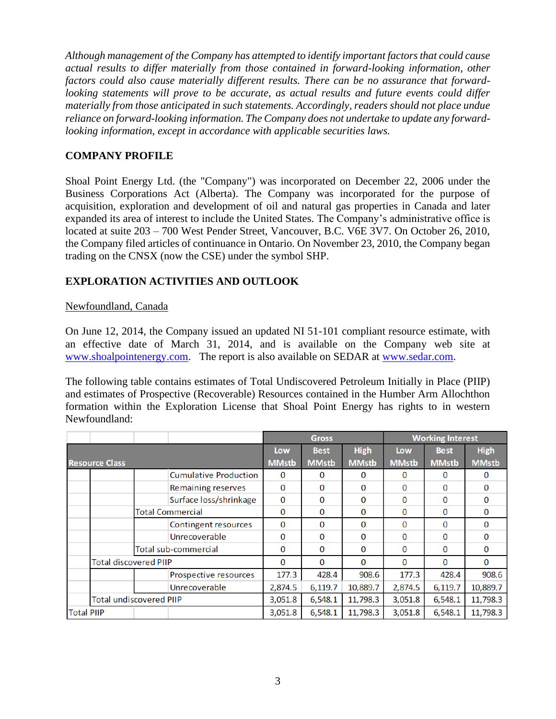*Although management of the Company has attempted to identify important factors that could cause actual results to differ materially from those contained in forward-looking information, other factors could also cause materially different results. There can be no assurance that forwardlooking statements will prove to be accurate, as actual results and future events could differ materially from those anticipated in such statements. Accordingly, readers should not place undue reliance on forward-looking information. The Company does not undertake to update any forwardlooking information, except in accordance with applicable securities laws.*

#### **COMPANY PROFILE**

Shoal Point Energy Ltd. (the "Company") was incorporated on December 22, 2006 under the Business Corporations Act (Alberta). The Company was incorporated for the purpose of acquisition, exploration and development of oil and natural gas properties in Canada and later expanded its area of interest to include the United States. The Company's administrative office is located at suite 203 – 700 West Pender Street, Vancouver, B.C. V6E 3V7. On October 26, 2010, the Company filed articles of continuance in Ontario. On November 23, 2010, the Company began trading on the CNSX (now the CSE) under the symbol SHP.

# **EXPLORATION ACTIVITIES AND OUTLOOK**

#### Newfoundland, Canada

On June 12, 2014, the Company issued an updated NI 51-101 compliant resource estimate, with an effective date of March 31, 2014, and is available on the Company web site at [www.shoalpointenergy.com.](http://www.shoalpointenergy.com/) The report is also available on SEDAR at [www.sedar.com.](http://www.sedar.com/)

The following table contains estimates of Total Undiscovered Petroleum Initially in Place (PIIP) and estimates of Prospective (Recoverable) Resources contained in the Humber Arm Allochthon formation within the Exploration License that Shoal Point Energy has rights to in western Newfoundland:

|                       |                                |  |                              | <b>Gross</b> |              |              | <b>Working Interest</b> |              |             |
|-----------------------|--------------------------------|--|------------------------------|--------------|--------------|--------------|-------------------------|--------------|-------------|
|                       |                                |  |                              | Low          | <b>Best</b>  | <b>High</b>  | Low                     | <b>Best</b>  | <b>High</b> |
| <b>Resource Class</b> |                                |  | <b>MMstb</b>                 | <b>MMstb</b> | <b>MMstb</b> | <b>MMstb</b> | <b>MMstb</b>            | <b>MMstb</b> |             |
|                       |                                |  | <b>Cumulative Production</b> | 0            | 0            | 0            | 0                       | 0            | 0           |
|                       |                                |  | <b>Remaining reserves</b>    | $\Omega$     | $\Omega$     | $\Omega$     | $\Omega$                | 0            | O           |
|                       |                                |  | Surface loss/shrinkage       | $\Omega$     | $\Omega$     | $\Omega$     | $\Omega$                | 0            | 0           |
|                       | <b>Total Commercial</b>        |  | $\bf{0}$                     | $\Omega$     | $\Omega$     | 0            | 0                       | 0            |             |
|                       |                                |  | Contingent resources         | 0            | $\Omega$     | $\mathbf{0}$ | $\Omega$                | 0            | 0           |
|                       |                                |  | Unrecoverable                | 0            | $\Omega$     | 0            | 0                       | 0            | 0           |
|                       |                                |  | Total sub-commercial         | $\Omega$     | $\Omega$     | $\Omega$     | 0                       | 0            | 0           |
|                       | <b>Total discovered PIIP</b>   |  | $\Omega$                     | $\Omega$     | $\Omega$     | 0            | 0                       | $\Omega$     |             |
|                       |                                |  | Prospective resources        | 177.3        | 428.4        | 908.6        | 177.3                   | 428.4        | 908.6       |
|                       |                                |  | Unrecoverable                | 2,874.5      | 6,119.7      | 10,889.7     | 2,874.5                 | 6,119.7      | 10,889.7    |
|                       | <b>Total undiscovered PIIP</b> |  | 3,051.8                      | 6,548.1      | 11,798.3     | 3,051.8      | 6,548.1                 | 11,798.3     |             |
| <b>Total PIIP</b>     |                                |  |                              | 3,051.8      | 6,548.1      | 11,798.3     | 3,051.8                 | 6,548.1      | 11,798.3    |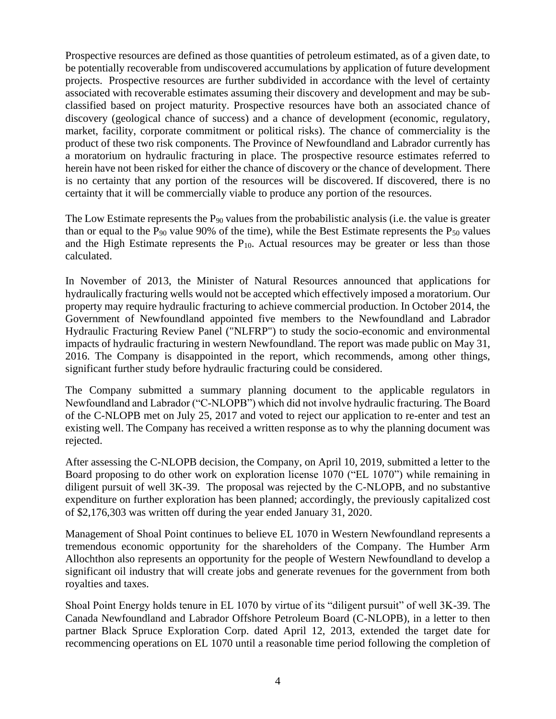Prospective resources are defined as those quantities of petroleum estimated, as of a given date, to be potentially recoverable from undiscovered accumulations by application of future development projects. Prospective resources are further subdivided in accordance with the level of certainty associated with recoverable estimates assuming their discovery and development and may be subclassified based on project maturity. Prospective resources have both an associated chance of discovery (geological chance of success) and a chance of development (economic, regulatory, market, facility, corporate commitment or political risks). The chance of commerciality is the product of these two risk components. The Province of Newfoundland and Labrador currently has a moratorium on hydraulic fracturing in place. The prospective resource estimates referred to herein have not been risked for either the chance of discovery or the chance of development. There is no certainty that any portion of the resources will be discovered. If discovered, there is no certainty that it will be commercially viable to produce any portion of the resources.

The Low Estimate represents the  $P_{90}$  values from the probabilistic analysis (i.e. the value is greater than or equal to the  $P_{90}$  value 90% of the time), while the Best Estimate represents the  $P_{50}$  values and the High Estimate represents the  $P_{10}$ . Actual resources may be greater or less than those calculated.

In November of 2013, the Minister of Natural Resources announced that applications for hydraulically fracturing wells would not be accepted which effectively imposed a moratorium. Our property may require hydraulic fracturing to achieve commercial production. In October 2014, the Government of Newfoundland appointed five members to the Newfoundland and Labrador Hydraulic Fracturing Review Panel ("NLFRP") to study the socio-economic and environmental impacts of hydraulic fracturing in western Newfoundland. The report was made public on May 31, 2016. The Company is disappointed in the report, which recommends, among other things, significant further study before hydraulic fracturing could be considered.

The Company submitted a summary planning document to the applicable regulators in Newfoundland and Labrador ("C-NLOPB") which did not involve hydraulic fracturing. The Board of the C-NLOPB met on July 25, 2017 and voted to reject our application to re-enter and test an existing well. The Company has received a written response as to why the planning document was rejected.

After assessing the C-NLOPB decision, the Company, on April 10, 2019, submitted a letter to the Board proposing to do other work on exploration license 1070 ("EL 1070") while remaining in diligent pursuit of well 3K-39. The proposal was rejected by the C-NLOPB, and no substantive expenditure on further exploration has been planned; accordingly, the previously capitalized cost of \$2,176,303 was written off during the year ended January 31, 2020.

Management of Shoal Point continues to believe EL 1070 in Western Newfoundland represents a tremendous economic opportunity for the shareholders of the Company. The Humber Arm Allochthon also represents an opportunity for the people of Western Newfoundland to develop a significant oil industry that will create jobs and generate revenues for the government from both royalties and taxes.

Shoal Point Energy holds tenure in EL 1070 by virtue of its "diligent pursuit" of well 3K-39. The Canada Newfoundland and Labrador Offshore Petroleum Board (C-NLOPB), in a letter to then partner Black Spruce Exploration Corp. dated April 12, 2013, extended the target date for recommencing operations on EL 1070 until a reasonable time period following the completion of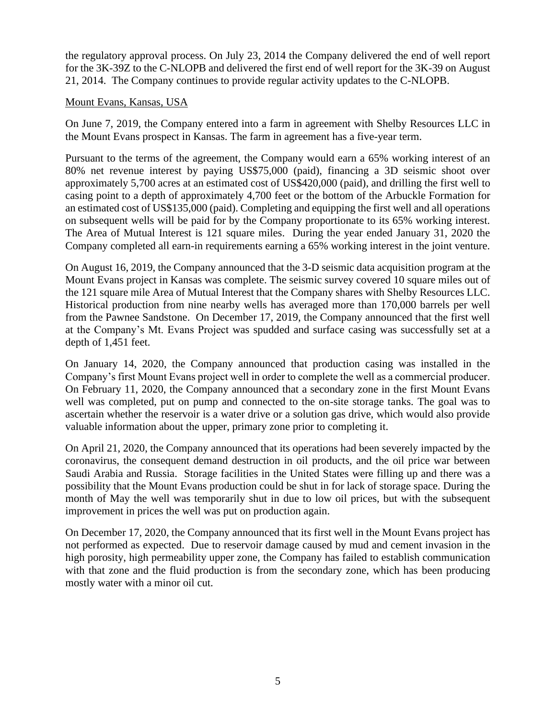the regulatory approval process. On July 23, 2014 the Company delivered the end of well report for the 3K-39Z to the C-NLOPB and delivered the first end of well report for the 3K-39 on August 21, 2014. The Company continues to provide regular activity updates to the C-NLOPB.

#### Mount Evans, Kansas, USA

On June 7, 2019, the Company entered into a farm in agreement with Shelby Resources LLC in the Mount Evans prospect in Kansas. The farm in agreement has a five-year term.

Pursuant to the terms of the agreement, the Company would earn a 65% working interest of an 80% net revenue interest by paying US\$75,000 (paid), financing a 3D seismic shoot over approximately 5,700 acres at an estimated cost of US\$420,000 (paid), and drilling the first well to casing point to a depth of approximately 4,700 feet or the bottom of the Arbuckle Formation for an estimated cost of US\$135,000 (paid). Completing and equipping the first well and all operations on subsequent wells will be paid for by the Company proportionate to its 65% working interest. The Area of Mutual Interest is 121 square miles. During the year ended January 31, 2020 the Company completed all earn-in requirements earning a 65% working interest in the joint venture.

On August 16, 2019, the Company announced that the 3-D seismic data acquisition program at the Mount Evans project in Kansas was complete. The seismic survey covered 10 square miles out of the 121 square mile Area of Mutual Interest that the Company shares with Shelby Resources LLC. Historical production from nine nearby wells has averaged more than 170,000 barrels per well from the Pawnee Sandstone. On December 17, 2019, the Company announced that the first well at the Company's Mt. Evans Project was spudded and surface casing was successfully set at a depth of 1,451 feet.

On January 14, 2020, the Company announced that production casing was installed in the Company's first Mount Evans project well in order to complete the well as a commercial producer. On February 11, 2020, the Company announced that a secondary zone in the first Mount Evans well was completed, put on pump and connected to the on-site storage tanks. The goal was to ascertain whether the reservoir is a water drive or a solution gas drive, which would also provide valuable information about the upper, primary zone prior to completing it.

On April 21, 2020, the Company announced that its operations had been severely impacted by the coronavirus, the consequent demand destruction in oil products, and the oil price war between Saudi Arabia and Russia. Storage facilities in the United States were filling up and there was a possibility that the Mount Evans production could be shut in for lack of storage space. During the month of May the well was temporarily shut in due to low oil prices, but with the subsequent improvement in prices the well was put on production again.

On December 17, 2020, the Company announced that its first well in the Mount Evans project has not performed as expected. Due to reservoir damage caused by mud and cement invasion in the high porosity, high permeability upper zone, the Company has failed to establish communication with that zone and the fluid production is from the secondary zone, which has been producing mostly water with a minor oil cut.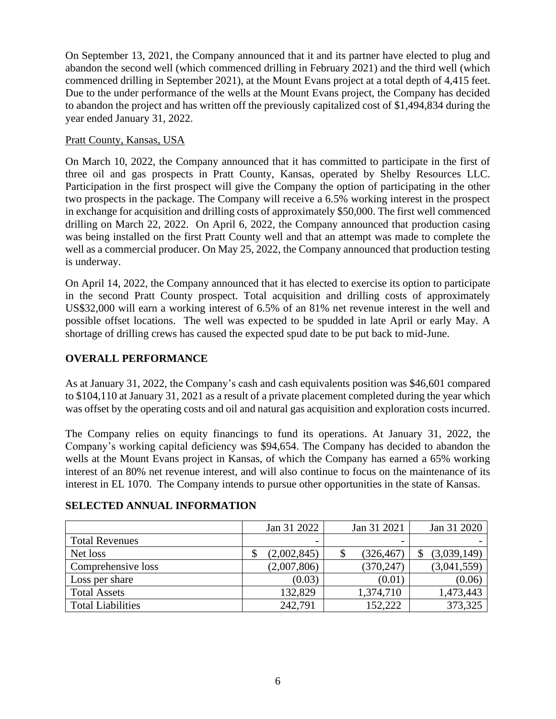On September 13, 2021, the Company announced that it and its partner have elected to plug and abandon the second well (which commenced drilling in February 2021) and the third well (which commenced drilling in September 2021), at the Mount Evans project at a total depth of 4,415 feet. Due to the under performance of the wells at the Mount Evans project, the Company has decided to abandon the project and has written off the previously capitalized cost of \$1,494,834 during the year ended January 31, 2022.

#### Pratt County, Kansas, USA

On March 10, 2022, the Company announced that it has committed to participate in the first of three oil and gas prospects in Pratt County, Kansas, operated by Shelby Resources LLC. Participation in the first prospect will give the Company the option of participating in the other two prospects in the package. The Company will receive a 6.5% working interest in the prospect in exchange for acquisition and drilling costs of approximately \$50,000. The first well commenced drilling on March 22, 2022. On April 6, 2022, the Company announced that production casing was being installed on the first Pratt County well and that an attempt was made to complete the well as a commercial producer. On May 25, 2022, the Company announced that production testing is underway.

On April 14, 2022, the Company announced that it has elected to exercise its option to participate in the second Pratt County prospect. Total acquisition and drilling costs of approximately US\$32,000 will earn a working interest of 6.5% of an 81% net revenue interest in the well and possible offset locations. The well was expected to be spudded in late April or early May. A shortage of drilling crews has caused the expected spud date to be put back to mid-June.

# **OVERALL PERFORMANCE**

As at January 31, 2022, the Company's cash and cash equivalents position was \$46,601 compared to \$104,110 at January 31, 2021 as a result of a private placement completed during the year which was offset by the operating costs and oil and natural gas acquisition and exploration costs incurred.

The Company relies on equity financings to fund its operations. At January 31, 2022, the Company's working capital deficiency was \$94,654. The Company has decided to abandon the wells at the Mount Evans project in Kansas, of which the Company has earned a 65% working interest of an 80% net revenue interest, and will also continue to focus on the maintenance of its interest in EL 1070. The Company intends to pursue other opportunities in the state of Kansas.

|                          | Jan 31 2022 | Jan 31 2021 | Jan 31 2020 |
|--------------------------|-------------|-------------|-------------|
| <b>Total Revenues</b>    | -           |             |             |
| Net loss                 | (2,002,845) | (326, 467)  | (3,039,149) |
| Comprehensive loss       | (2,007,806) | (370, 247)  | (3,041,559) |
| Loss per share           | (0.03)      | (0.01)      | (0.06)      |
| <b>Total Assets</b>      | 132,829     | 1,374,710   | 1,473,443   |
| <b>Total Liabilities</b> | 242,791     | 152,222     | 373,325     |

# **SELECTED ANNUAL INFORMATION**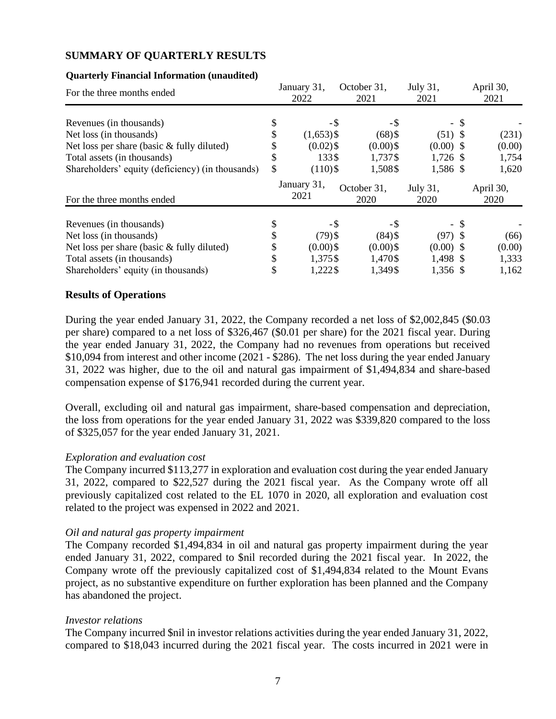#### **SUMMARY OF QUARTERLY RESULTS**

#### For the three months ended January 31, 2022 October 31, 2021 July 31, 2021 April 30, 2021 Revenues (in thousands)  $\begin{array}{ccc}\n\text{8} & -\text{9} & -\text{9} \\
\text{Net loss (in thousands)} & \text{9} & \text{1.653}\n\end{array}$  (1.653) Net loss (in thousands)<br>
Net loss per share (basic & fully diluted)<br>  $\frac{1}{3}$  (1,653)\$ (68)\$ (51) \$ (231)<br>
(0.00)\$ (0.00) \$ (0.00) Net loss per share (basic & fully diluted)  $\qquad$   $\qquad$   $(0.02)$   $\qquad$   $(0.00)$   $\qquad$   $(0.00)$   $\qquad$   $(0.00)$   $(0.00)$ Total assets (in thousands)  $$$  1,737\$ 1,726 \$ 1,754 Shareholders' equity (deficiency) (in thousands) \$ (110)\$ 1,508\$ 1,586 \$ 1,620 For the three months ended January 31, 2021 October 31, 2020 July 31, 2020 April 30, 2020 Revenues (in thousands)  $\qquad$   $\qquad$   $\qquad$   $\qquad$   $\qquad$   $\qquad$   $\qquad$   $\qquad$   $\qquad$   $\qquad$   $\qquad$   $\qquad$   $\qquad$   $\qquad$   $\qquad$   $\qquad$   $\qquad$   $\qquad$   $\qquad$   $\qquad$   $\qquad$   $\qquad$   $\qquad$   $\qquad$   $\qquad$   $\qquad$   $\qquad$   $\qquad$   $\qquad$   $\qquad$   $\qquad$   $\qquad$   $\qquad$  Net loss (in thousands)  $\frac{1}{2}$  (79) \$ (84) \$ (97) \$ (66) Net loss per share (basic & fully diluted)  $\qquad$  \$ (0.00) \$ (0.00) \$ (0.00) \$ (0.00) Total assets (in thousands) <br>
Shareholders' equity (in thousands) <br>
S 1,375\$ 1,470\$ 1,498 \$ 1,333<br>
1,36 \$ 1,162 Shareholders' equity (in thousands)  $\qquad$  \$ 1,222\$ 1,349\$ 1,356 \$ 1,162

#### **Quarterly Financial Information (unaudited)**

#### **Results of Operations**

During the year ended January 31, 2022, the Company recorded a net loss of \$2,002,845 (\$0.03 per share) compared to a net loss of \$326,467 (\$0.01 per share) for the 2021 fiscal year. During the year ended January 31, 2022, the Company had no revenues from operations but received \$10,094 from interest and other income (2021 - \$286). The net loss during the year ended January 31, 2022 was higher, due to the oil and natural gas impairment of \$1,494,834 and share-based compensation expense of \$176,941 recorded during the current year.

Overall, excluding oil and natural gas impairment, share-based compensation and depreciation, the loss from operations for the year ended January 31, 2022 was \$339,820 compared to the loss of \$325,057 for the year ended January 31, 2021.

#### *Exploration and evaluation cost*

The Company incurred \$113,277 in exploration and evaluation cost during the year ended January 31, 2022, compared to \$22,527 during the 2021 fiscal year. As the Company wrote off all previously capitalized cost related to the EL 1070 in 2020, all exploration and evaluation cost related to the project was expensed in 2022 and 2021.

#### *Oil and natural gas property impairment*

The Company recorded \$1,494,834 in oil and natural gas property impairment during the year ended January 31, 2022, compared to \$nil recorded during the 2021 fiscal year. In 2022, the Company wrote off the previously capitalized cost of \$1,494,834 related to the Mount Evans project, as no substantive expenditure on further exploration has been planned and the Company has abandoned the project.

#### *Investor relations*

The Company incurred \$nil in investor relations activities during the year ended January 31, 2022, compared to \$18,043 incurred during the 2021 fiscal year. The costs incurred in 2021 were in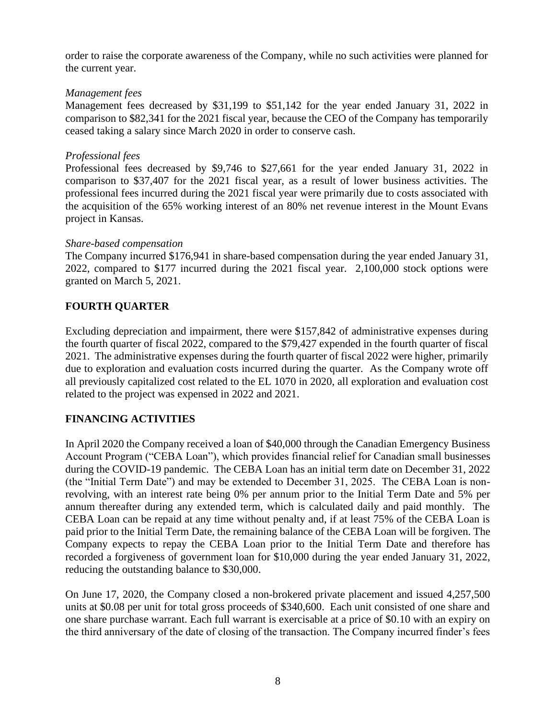order to raise the corporate awareness of the Company, while no such activities were planned for the current year.

#### *Management fees*

Management fees decreased by \$31,199 to \$51,142 for the year ended January 31, 2022 in comparison to \$82,341 for the 2021 fiscal year, because the CEO of the Company has temporarily ceased taking a salary since March 2020 in order to conserve cash.

#### *Professional fees*

Professional fees decreased by \$9,746 to \$27,661 for the year ended January 31, 2022 in comparison to \$37,407 for the 2021 fiscal year, as a result of lower business activities. The professional fees incurred during the 2021 fiscal year were primarily due to costs associated with the acquisition of the 65% working interest of an 80% net revenue interest in the Mount Evans project in Kansas.

#### *Share-based compensation*

The Company incurred \$176,941 in share-based compensation during the year ended January 31, 2022, compared to \$177 incurred during the 2021 fiscal year. 2,100,000 stock options were granted on March 5, 2021.

# **FOURTH QUARTER**

Excluding depreciation and impairment, there were \$157,842 of administrative expenses during the fourth quarter of fiscal 2022, compared to the \$79,427 expended in the fourth quarter of fiscal 2021. The administrative expenses during the fourth quarter of fiscal 2022 were higher, primarily due to exploration and evaluation costs incurred during the quarter. As the Company wrote off all previously capitalized cost related to the EL 1070 in 2020, all exploration and evaluation cost related to the project was expensed in 2022 and 2021.

# **FINANCING ACTIVITIES**

In April 2020 the Company received a loan of \$40,000 through the Canadian Emergency Business Account Program ("CEBA Loan"), which provides financial relief for Canadian small businesses during the COVID-19 pandemic. The CEBA Loan has an initial term date on December 31, 2022 (the "Initial Term Date") and may be extended to December 31, 2025. The CEBA Loan is nonrevolving, with an interest rate being 0% per annum prior to the Initial Term Date and 5% per annum thereafter during any extended term, which is calculated daily and paid monthly. The CEBA Loan can be repaid at any time without penalty and, if at least 75% of the CEBA Loan is paid prior to the Initial Term Date, the remaining balance of the CEBA Loan will be forgiven. The Company expects to repay the CEBA Loan prior to the Initial Term Date and therefore has recorded a forgiveness of government loan for \$10,000 during the year ended January 31, 2022, reducing the outstanding balance to \$30,000.

On June 17, 2020, the Company closed a non-brokered private placement and issued 4,257,500 units at \$0.08 per unit for total gross proceeds of \$340,600. Each unit consisted of one share and one share purchase warrant. Each full warrant is exercisable at a price of \$0.10 with an expiry on the third anniversary of the date of closing of the transaction. The Company incurred finder's fees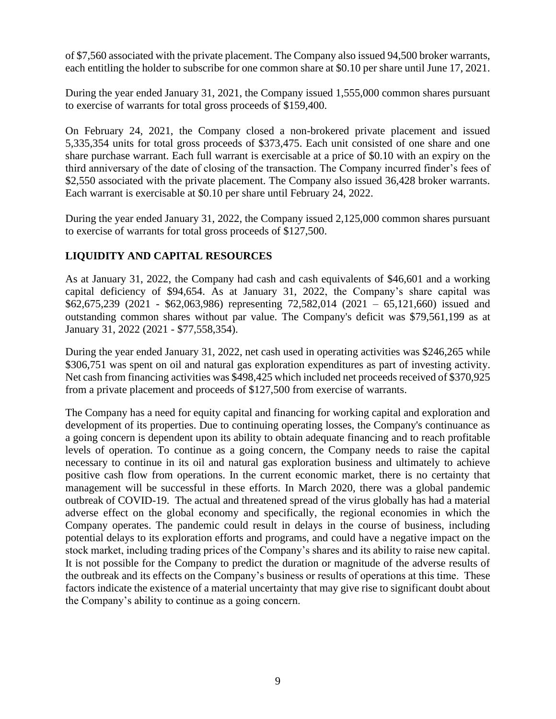of \$7,560 associated with the private placement. The Company also issued 94,500 broker warrants, each entitling the holder to subscribe for one common share at \$0.10 per share until June 17, 2021.

During the year ended January 31, 2021, the Company issued 1,555,000 common shares pursuant to exercise of warrants for total gross proceeds of \$159,400.

On February 24, 2021, the Company closed a non-brokered private placement and issued 5,335,354 units for total gross proceeds of \$373,475. Each unit consisted of one share and one share purchase warrant. Each full warrant is exercisable at a price of \$0.10 with an expiry on the third anniversary of the date of closing of the transaction. The Company incurred finder's fees of \$2,550 associated with the private placement. The Company also issued 36,428 broker warrants. Each warrant is exercisable at \$0.10 per share until February 24, 2022.

During the year ended January 31, 2022, the Company issued 2,125,000 common shares pursuant to exercise of warrants for total gross proceeds of \$127,500.

# **LIQUIDITY AND CAPITAL RESOURCES**

As at January 31, 2022, the Company had cash and cash equivalents of \$46,601 and a working capital deficiency of \$94,654. As at January 31, 2022, the Company's share capital was \$62,675,239 (2021 - \$62,063,986) representing 72,582,014 (2021 – 65,121,660) issued and outstanding common shares without par value. The Company's deficit was \$79,561,199 as at January 31, 2022 (2021 - \$77,558,354).

During the year ended January 31, 2022, net cash used in operating activities was \$246,265 while \$306,751 was spent on oil and natural gas exploration expenditures as part of investing activity. Net cash from financing activities was \$498,425 which included net proceeds received of \$370,925 from a private placement and proceeds of \$127,500 from exercise of warrants.

The Company has a need for equity capital and financing for working capital and exploration and development of its properties. Due to continuing operating losses, the Company's continuance as a going concern is dependent upon its ability to obtain adequate financing and to reach profitable levels of operation. To continue as a going concern, the Company needs to raise the capital necessary to continue in its oil and natural gas exploration business and ultimately to achieve positive cash flow from operations. In the current economic market, there is no certainty that management will be successful in these efforts. In March 2020, there was a global pandemic outbreak of COVID-19. The actual and threatened spread of the virus globally has had a material adverse effect on the global economy and specifically, the regional economies in which the Company operates. The pandemic could result in delays in the course of business, including potential delays to its exploration efforts and programs, and could have a negative impact on the stock market, including trading prices of the Company's shares and its ability to raise new capital. It is not possible for the Company to predict the duration or magnitude of the adverse results of the outbreak and its effects on the Company's business or results of operations at this time. These factors indicate the existence of a material uncertainty that may give rise to significant doubt about the Company's ability to continue as a going concern.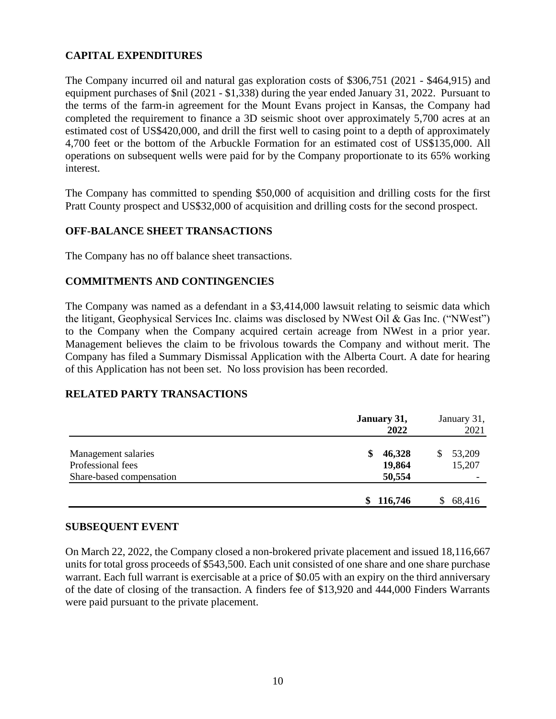# **CAPITAL EXPENDITURES**

The Company incurred oil and natural gas exploration costs of \$306,751 (2021 - \$464,915) and equipment purchases of \$nil (2021 - \$1,338) during the year ended January 31, 2022. Pursuant to the terms of the farm-in agreement for the Mount Evans project in Kansas, the Company had completed the requirement to finance a 3D seismic shoot over approximately 5,700 acres at an estimated cost of US\$420,000, and drill the first well to casing point to a depth of approximately 4,700 feet or the bottom of the Arbuckle Formation for an estimated cost of US\$135,000. All operations on subsequent wells were paid for by the Company proportionate to its 65% working interest.

The Company has committed to spending \$50,000 of acquisition and drilling costs for the first Pratt County prospect and US\$32,000 of acquisition and drilling costs for the second prospect.

#### **OFF-BALANCE SHEET TRANSACTIONS**

The Company has no off balance sheet transactions.

#### **COMMITMENTS AND CONTINGENCIES**

The Company was named as a defendant in a \$3,414,000 lawsuit relating to seismic data which the litigant, Geophysical Services Inc. claims was disclosed by NWest Oil & Gas Inc. ("NWest") to the Company when the Company acquired certain acreage from NWest in a prior year. Management believes the claim to be frivolous towards the Company and without merit. The Company has filed a Summary Dismissal Application with the Alberta Court. A date for hearing of this Application has not been set. No loss provision has been recorded.

#### **RELATED PARTY TRANSACTIONS**

|                          | January 31,<br>2022 | January 31,<br>2021 |
|--------------------------|---------------------|---------------------|
| Management salaries      | 46,328<br>S.        | 53,209<br>S         |
| Professional fees        | 19,864              | 15,207              |
| Share-based compensation | 50,554              |                     |
|                          | \$116,746           | 68,416              |

#### **SUBSEQUENT EVENT**

On March 22, 2022, the Company closed a non-brokered private placement and issued 18,116,667 units for total gross proceeds of \$543,500. Each unit consisted of one share and one share purchase warrant. Each full warrant is exercisable at a price of \$0.05 with an expiry on the third anniversary of the date of closing of the transaction. A finders fee of \$13,920 and 444,000 Finders Warrants were paid pursuant to the private placement.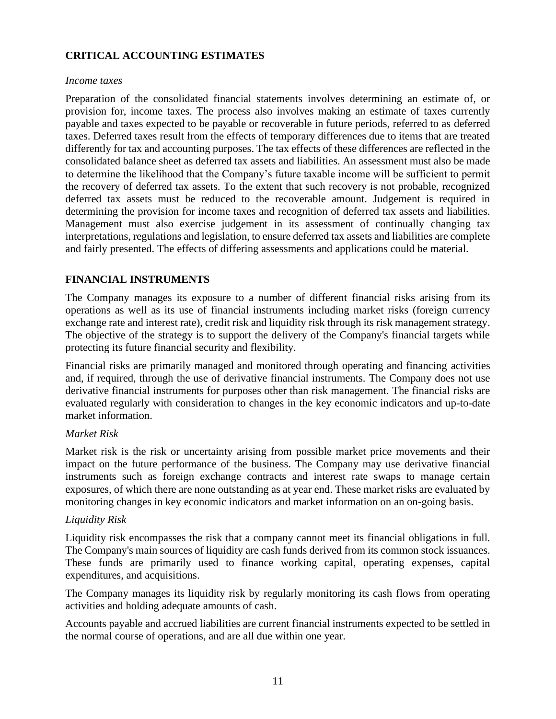# **CRITICAL ACCOUNTING ESTIMATES**

#### *Income taxes*

Preparation of the consolidated financial statements involves determining an estimate of, or provision for, income taxes. The process also involves making an estimate of taxes currently payable and taxes expected to be payable or recoverable in future periods, referred to as deferred taxes. Deferred taxes result from the effects of temporary differences due to items that are treated differently for tax and accounting purposes. The tax effects of these differences are reflected in the consolidated balance sheet as deferred tax assets and liabilities. An assessment must also be made to determine the likelihood that the Company's future taxable income will be sufficient to permit the recovery of deferred tax assets. To the extent that such recovery is not probable, recognized deferred tax assets must be reduced to the recoverable amount. Judgement is required in determining the provision for income taxes and recognition of deferred tax assets and liabilities. Management must also exercise judgement in its assessment of continually changing tax interpretations, regulations and legislation, to ensure deferred tax assets and liabilities are complete and fairly presented. The effects of differing assessments and applications could be material.

# **FINANCIAL INSTRUMENTS**

The Company manages its exposure to a number of different financial risks arising from its operations as well as its use of financial instruments including market risks (foreign currency exchange rate and interest rate), credit risk and liquidity risk through its risk management strategy. The objective of the strategy is to support the delivery of the Company's financial targets while protecting its future financial security and flexibility.

Financial risks are primarily managed and monitored through operating and financing activities and, if required, through the use of derivative financial instruments. The Company does not use derivative financial instruments for purposes other than risk management. The financial risks are evaluated regularly with consideration to changes in the key economic indicators and up-to-date market information.

# *Market Risk*

Market risk is the risk or uncertainty arising from possible market price movements and their impact on the future performance of the business. The Company may use derivative financial instruments such as foreign exchange contracts and interest rate swaps to manage certain exposures, of which there are none outstanding as at year end. These market risks are evaluated by monitoring changes in key economic indicators and market information on an on-going basis.

# *Liquidity Risk*

Liquidity risk encompasses the risk that a company cannot meet its financial obligations in full. The Company's main sources of liquidity are cash funds derived from its common stock issuances. These funds are primarily used to finance working capital, operating expenses, capital expenditures, and acquisitions.

The Company manages its liquidity risk by regularly monitoring its cash flows from operating activities and holding adequate amounts of cash.

Accounts payable and accrued liabilities are current financial instruments expected to be settled in the normal course of operations, and are all due within one year.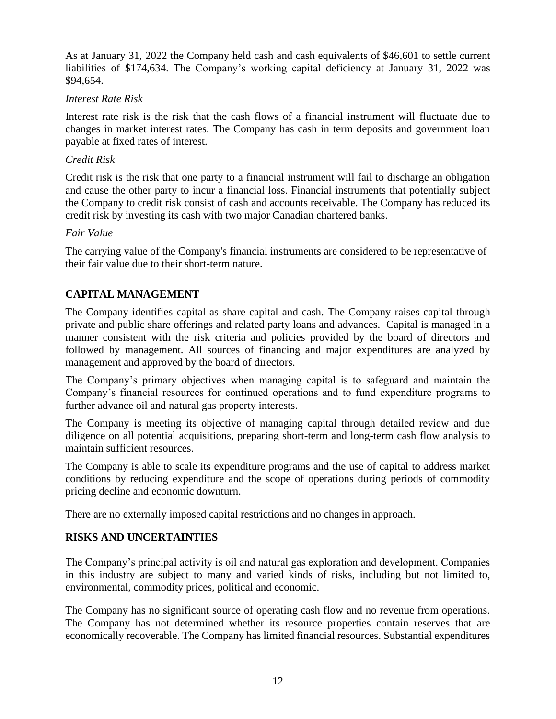As at January 31, 2022 the Company held cash and cash equivalents of \$46,601 to settle current liabilities of \$174,634. The Company's working capital deficiency at January 31, 2022 was \$94,654.

#### *Interest Rate Risk*

Interest rate risk is the risk that the cash flows of a financial instrument will fluctuate due to changes in market interest rates. The Company has cash in term deposits and government loan payable at fixed rates of interest.

#### *Credit Risk*

Credit risk is the risk that one party to a financial instrument will fail to discharge an obligation and cause the other party to incur a financial loss. Financial instruments that potentially subject the Company to credit risk consist of cash and accounts receivable. The Company has reduced its credit risk by investing its cash with two major Canadian chartered banks.

#### *Fair Value*

The carrying value of the Company's financial instruments are considered to be representative of their fair value due to their short-term nature.

# **CAPITAL MANAGEMENT**

The Company identifies capital as share capital and cash. The Company raises capital through private and public share offerings and related party loans and advances. Capital is managed in a manner consistent with the risk criteria and policies provided by the board of directors and followed by management. All sources of financing and major expenditures are analyzed by management and approved by the board of directors.

The Company's primary objectives when managing capital is to safeguard and maintain the Company's financial resources for continued operations and to fund expenditure programs to further advance oil and natural gas property interests.

The Company is meeting its objective of managing capital through detailed review and due diligence on all potential acquisitions, preparing short-term and long-term cash flow analysis to maintain sufficient resources.

The Company is able to scale its expenditure programs and the use of capital to address market conditions by reducing expenditure and the scope of operations during periods of commodity pricing decline and economic downturn.

There are no externally imposed capital restrictions and no changes in approach.

# **RISKS AND UNCERTAINTIES**

The Company's principal activity is oil and natural gas exploration and development. Companies in this industry are subject to many and varied kinds of risks, including but not limited to, environmental, commodity prices, political and economic.

The Company has no significant source of operating cash flow and no revenue from operations. The Company has not determined whether its resource properties contain reserves that are economically recoverable. The Company has limited financial resources. Substantial expenditures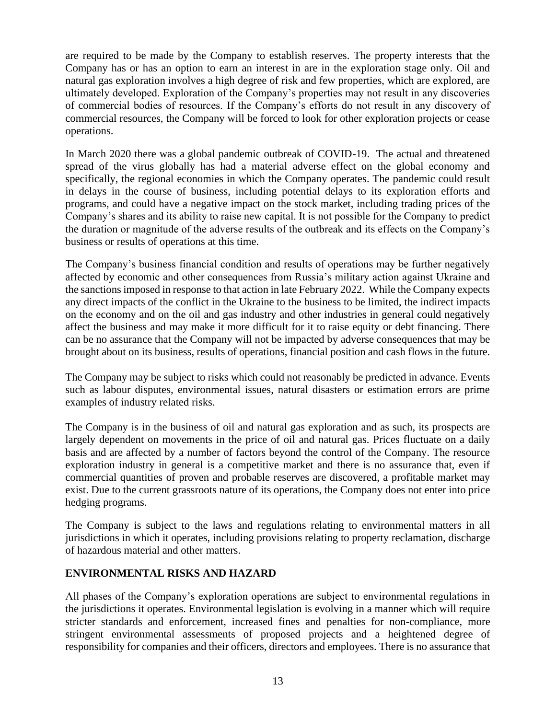are required to be made by the Company to establish reserves. The property interests that the Company has or has an option to earn an interest in are in the exploration stage only. Oil and natural gas exploration involves a high degree of risk and few properties, which are explored, are ultimately developed. Exploration of the Company's properties may not result in any discoveries of commercial bodies of resources. If the Company's efforts do not result in any discovery of commercial resources, the Company will be forced to look for other exploration projects or cease operations.

In March 2020 there was a global pandemic outbreak of COVID-19. The actual and threatened spread of the virus globally has had a material adverse effect on the global economy and specifically, the regional economies in which the Company operates. The pandemic could result in delays in the course of business, including potential delays to its exploration efforts and programs, and could have a negative impact on the stock market, including trading prices of the Company's shares and its ability to raise new capital. It is not possible for the Company to predict the duration or magnitude of the adverse results of the outbreak and its effects on the Company's business or results of operations at this time.

The Company's business financial condition and results of operations may be further negatively affected by economic and other consequences from Russia's military action against Ukraine and the sanctions imposed in response to that action in late February 2022. While the Company expects any direct impacts of the conflict in the Ukraine to the business to be limited, the indirect impacts on the economy and on the oil and gas industry and other industries in general could negatively affect the business and may make it more difficult for it to raise equity or debt financing. There can be no assurance that the Company will not be impacted by adverse consequences that may be brought about on its business, results of operations, financial position and cash flows in the future.

The Company may be subject to risks which could not reasonably be predicted in advance. Events such as labour disputes, environmental issues, natural disasters or estimation errors are prime examples of industry related risks.

The Company is in the business of oil and natural gas exploration and as such, its prospects are largely dependent on movements in the price of oil and natural gas. Prices fluctuate on a daily basis and are affected by a number of factors beyond the control of the Company. The resource exploration industry in general is a competitive market and there is no assurance that, even if commercial quantities of proven and probable reserves are discovered, a profitable market may exist. Due to the current grassroots nature of its operations, the Company does not enter into price hedging programs.

The Company is subject to the laws and regulations relating to environmental matters in all jurisdictions in which it operates, including provisions relating to property reclamation, discharge of hazardous material and other matters.

# **ENVIRONMENTAL RISKS AND HAZARD**

All phases of the Company's exploration operations are subject to environmental regulations in the jurisdictions it operates. Environmental legislation is evolving in a manner which will require stricter standards and enforcement, increased fines and penalties for non-compliance, more stringent environmental assessments of proposed projects and a heightened degree of responsibility for companies and their officers, directors and employees. There is no assurance that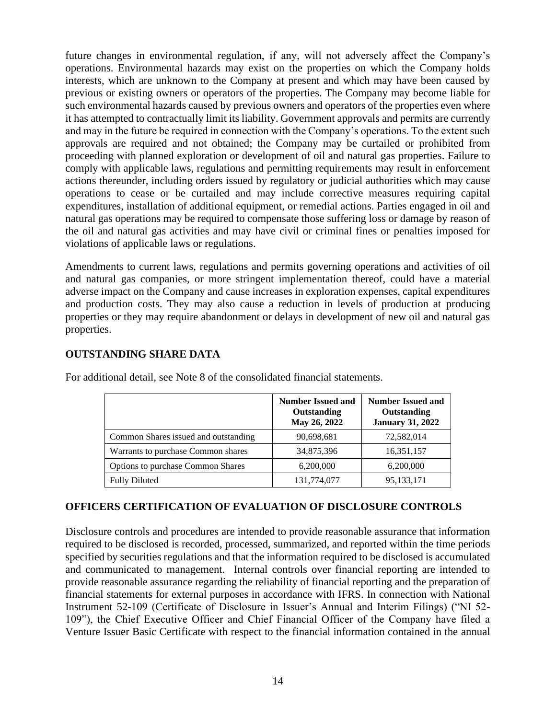future changes in environmental regulation, if any, will not adversely affect the Company's operations. Environmental hazards may exist on the properties on which the Company holds interests, which are unknown to the Company at present and which may have been caused by previous or existing owners or operators of the properties. The Company may become liable for such environmental hazards caused by previous owners and operators of the properties even where it has attempted to contractually limit its liability. Government approvals and permits are currently and may in the future be required in connection with the Company's operations. To the extent such approvals are required and not obtained; the Company may be curtailed or prohibited from proceeding with planned exploration or development of oil and natural gas properties. Failure to comply with applicable laws, regulations and permitting requirements may result in enforcement actions thereunder, including orders issued by regulatory or judicial authorities which may cause operations to cease or be curtailed and may include corrective measures requiring capital expenditures, installation of additional equipment, or remedial actions. Parties engaged in oil and natural gas operations may be required to compensate those suffering loss or damage by reason of the oil and natural gas activities and may have civil or criminal fines or penalties imposed for violations of applicable laws or regulations.

Amendments to current laws, regulations and permits governing operations and activities of oil and natural gas companies, or more stringent implementation thereof, could have a material adverse impact on the Company and cause increases in exploration expenses, capital expenditures and production costs. They may also cause a reduction in levels of production at producing properties or they may require abandonment or delays in development of new oil and natural gas properties.

|                                      | <b>Number Issued and</b><br>Outstanding<br>May 26, 2022 | <b>Number Issued and</b><br>Outstanding<br><b>January 31, 2022</b> |
|--------------------------------------|---------------------------------------------------------|--------------------------------------------------------------------|
| Common Shares issued and outstanding | 90,698,681                                              | 72,582,014                                                         |
| Warrants to purchase Common shares   | 34,875,396                                              | 16,351,157                                                         |
| Options to purchase Common Shares    | 6,200,000                                               | 6,200,000                                                          |
| <b>Fully Diluted</b>                 | 131,774,077                                             | 95, 133, 171                                                       |

**OUTSTANDING SHARE DATA**

# For additional detail, see Note 8 of the consolidated financial statements.

# **OFFICERS CERTIFICATION OF EVALUATION OF DISCLOSURE CONTROLS**

Disclosure controls and procedures are intended to provide reasonable assurance that information required to be disclosed is recorded, processed, summarized, and reported within the time periods specified by securities regulations and that the information required to be disclosed is accumulated and communicated to management. Internal controls over financial reporting are intended to provide reasonable assurance regarding the reliability of financial reporting and the preparation of financial statements for external purposes in accordance with IFRS. In connection with National Instrument 52-109 (Certificate of Disclosure in Issuer's Annual and Interim Filings) ("NI 52- 109"), the Chief Executive Officer and Chief Financial Officer of the Company have filed a Venture Issuer Basic Certificate with respect to the financial information contained in the annual